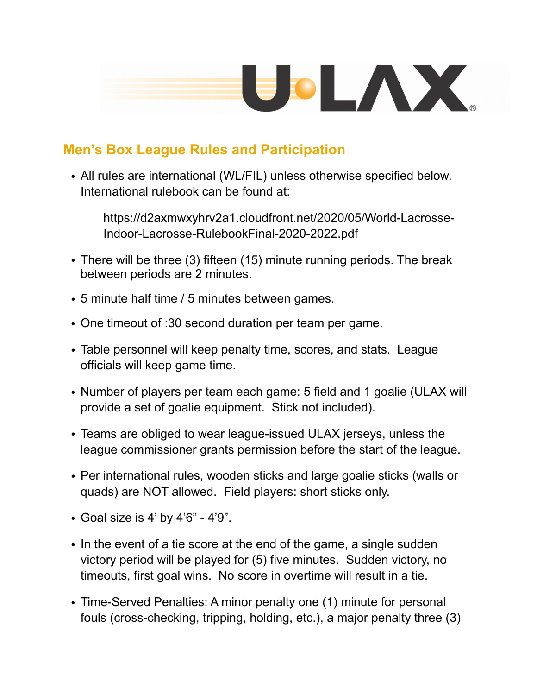

## **Men's Box League Rules and Participation**

• All rules are international (WL/FIL) unless otherwise specified below. International rulebook can be found at:

https://d2axmwxyhrv2a1.cloudfront.net/2020/05/World-Lacrosse-Indoor-Lacrosse-RulebookFinal-2020-2022.pdf

- There will be three (3) fifteen (15) minute running periods. The break between periods are 2 minutes.
- 5 minute half time / 5 minutes between games.
- One timeout of :30 second duration per team per game.
- Table personnel will keep penalty time, scores, and stats. League officials will keep game time.
- Number of players per team each game: 5 field and 1 goalie (ULAX will provide a set of goalie equipment. Stick not included).
- Teams are obliged to wear league-issued ULAX jerseys, unless the league commissioner grants permission before the start of the league.
- Per international rules, wooden sticks and large goalie sticks (walls or quads) are NOT allowed. Field players: short sticks only.
- Goal size is 4' by 4'6" 4'9".
- In the event of a tie score at the end of the game, a single sudden victory period will be played for (5) five minutes. Sudden victory, no timeouts, first goal wins. No score in overtime will result in a tie.
- Time-Served Penalties: A minor penalty one (1) minute for personal fouls (cross-checking, tripping, holding, etc.), a major penalty three (3)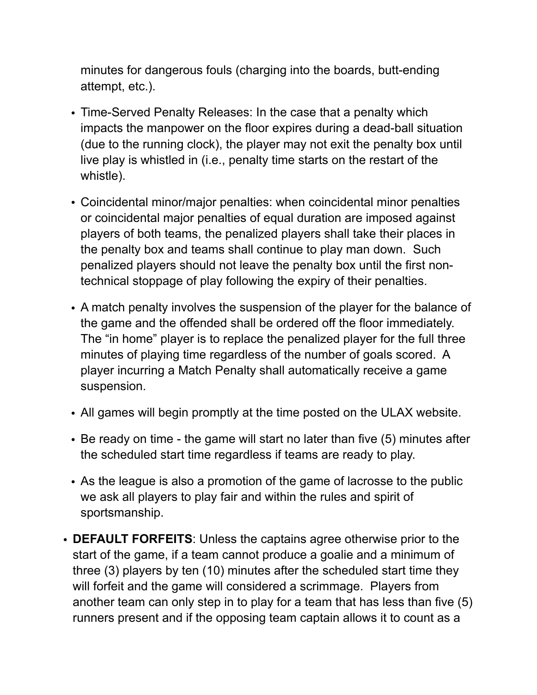minutes for dangerous fouls (charging into the boards, butt-ending attempt, etc.).

- Time-Served Penalty Releases: In the case that a penalty which impacts the manpower on the floor expires during a dead-ball situation (due to the running clock), the player may not exit the penalty box until live play is whistled in (i.e., penalty time starts on the restart of the whistle).
- Coincidental minor/major penalties: when coincidental minor penalties or coincidental major penalties of equal duration are imposed against players of both teams, the penalized players shall take their places in the penalty box and teams shall continue to play man down. Such penalized players should not leave the penalty box until the first nontechnical stoppage of play following the expiry of their penalties.
- A match penalty involves the suspension of the player for the balance of the game and the offended shall be ordered off the floor immediately. The "in home" player is to replace the penalized player for the full three minutes of playing time regardless of the number of goals scored. A player incurring a Match Penalty shall automatically receive a game suspension.
- All games will begin promptly at the time posted on the ULAX website.
- Be ready on time the game will start no later than five (5) minutes after the scheduled start time regardless if teams are ready to play.
- As the league is also a promotion of the game of lacrosse to the public we ask all players to play fair and within the rules and spirit of sportsmanship.
- **DEFAULT FORFEITS**: Unless the captains agree otherwise prior to the start of the game, if a team cannot produce a goalie and a minimum of three (3) players by ten (10) minutes after the scheduled start time they will forfeit and the game will considered a scrimmage. Players from another team can only step in to play for a team that has less than five (5) runners present and if the opposing team captain allows it to count as a